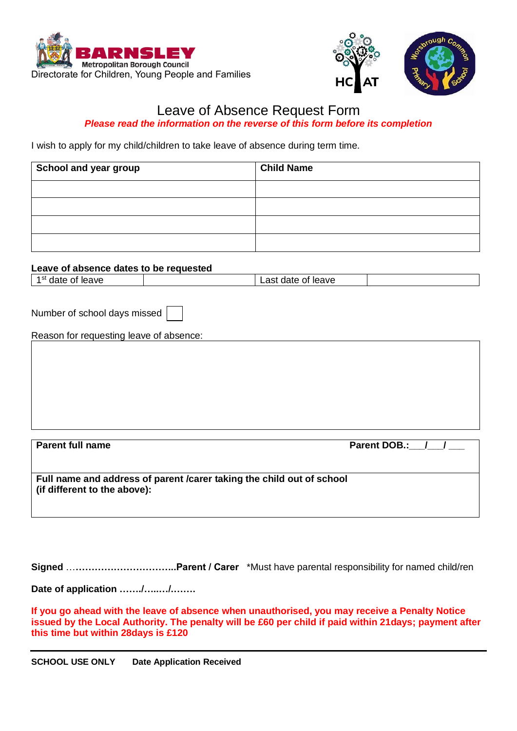



## Leave of Absence Request Form *Please read the information on the reverse of this form before its completion*

I wish to apply for my child/children to take leave of absence during term time.

| School and year group | <b>Child Name</b> |
|-----------------------|-------------------|
|                       |                   |
|                       |                   |
|                       |                   |
|                       |                   |

## **Leave of absence dates to be requested**

| AVE<br>,,,<br>udit<br>.<br>--<br>101 |  | . | ⊺leave<br>.<br>_____ |  |
|--------------------------------------|--|---|----------------------|--|
|--------------------------------------|--|---|----------------------|--|

Number of school days missed

Reason for requesting leave of absence:

Parent full name **Parent DOB.:** / / **Full name and address of parent /carer taking the child out of school (if different to the above):**

**Signed** …**…………………………..Parent / Carer** \*Must have parental responsibility for named child/ren

**Date of application ……./…..…/.…….**

**If you go ahead with the leave of absence when unauthorised, you may receive a Penalty Notice issued by the Local Authority. The penalty will be £60 per child if paid within 21days; payment after this time but within 28days is £120**